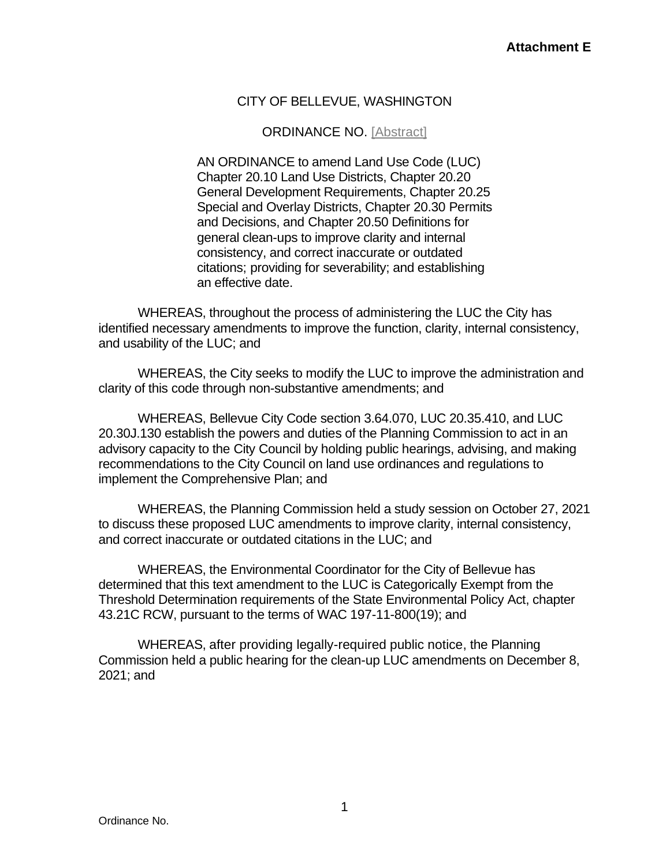# CITY OF BELLEVUE, WASHINGTON

## ORDINANCE NO. [Abstract]

AN ORDINANCE to amend Land Use Code (LUC) Chapter 20.10 Land Use Districts, Chapter 20.20 General Development Requirements, Chapter 20.25 Special and Overlay Districts, Chapter 20.30 Permits and Decisions, and Chapter 20.50 Definitions for general clean-ups to improve clarity and internal consistency, and correct inaccurate or outdated citations; providing for severability; and establishing an effective date.

WHEREAS, throughout the process of administering the LUC the City has identified necessary amendments to improve the function, clarity, internal consistency, and usability of the LUC; and

WHEREAS, the City seeks to modify the LUC to improve the administration and clarity of this code through non-substantive amendments; and

WHEREAS, Bellevue City Code section 3.64.070, LUC 20.35.410, and LUC 20.30J.130 establish the powers and duties of the Planning Commission to act in an advisory capacity to the City Council by holding public hearings, advising, and making recommendations to the City Council on land use ordinances and regulations to implement the Comprehensive Plan; and

WHEREAS, the Planning Commission held a study session on October 27, 2021 to discuss these proposed LUC amendments to improve clarity, internal consistency, and correct inaccurate or outdated citations in the LUC; and

WHEREAS, the Environmental Coordinator for the City of Bellevue has determined that this text amendment to the LUC is Categorically Exempt from the Threshold Determination requirements of the State Environmental Policy Act, chapter 43.21C RCW, pursuant to the terms of WAC 197-11-800(19); and

WHEREAS, after providing legally-required public notice, the Planning Commission held a public hearing for the clean-up LUC amendments on December 8, 2021; and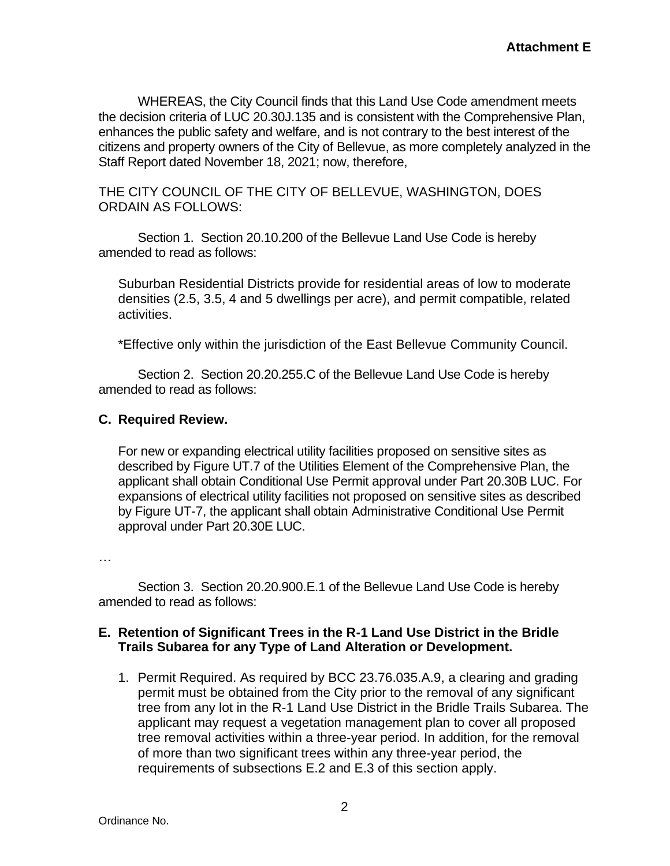WHEREAS, the City Council finds that this Land Use Code amendment meets the decision criteria of LUC 20.30J.135 and is consistent with the Comprehensive Plan, enhances the public safety and welfare, and is not contrary to the best interest of the citizens and property owners of the City of Bellevue, as more completely analyzed in the Staff Report dated November 18, 2021; now, therefore,

THE CITY COUNCIL OF THE CITY OF BELLEVUE, WASHINGTON, DOES ORDAIN AS FOLLOWS:

Section 1. Section 20.10.200 of the Bellevue Land Use Code is hereby amended to read as follows:

Suburban Residential Districts provide for residential areas of low to moderate densities (2.5, 3.5, 4 and 5 dwellings per acre), and permit compatible, related activities.

\*Effective only within the jurisdiction of the East Bellevue Community Council.

Section 2. Section 20.20.255.C of the Bellevue Land Use Code is hereby amended to read as follows:

#### **C. Required Review.**

For new or expanding electrical utility facilities proposed on sensitive sites as described by Figure UT.7 of the Utilities Element of the Comprehensive Plan, the applicant shall obtain Conditional Use Permit approval under Part 20.30B LUC. For expansions of electrical utility facilities not proposed on sensitive sites as described by Figure UT-7, the applicant shall obtain Administrative Conditional Use Permit approval under Part 20.30E LUC.

…

Section 3. Section 20.20.900.E.1 of the Bellevue Land Use Code is hereby amended to read as follows:

#### **E. Retention of Significant Trees in the R-1 Land Use District in the Bridle Trails Subarea for any Type of Land Alteration or Development.**

1. Permit Required. As required by BCC 23.76.035.A.9, a clearing and grading permit must be obtained from the City prior to the removal of any significant tree from any lot in the R-1 Land Use District in the Bridle Trails Subarea. The applicant may request a vegetation management plan to cover all proposed tree removal activities within a three-year period. In addition, for the removal of more than two significant trees within any three-year period, the requirements of subsections E.2 and E.3 of this section apply.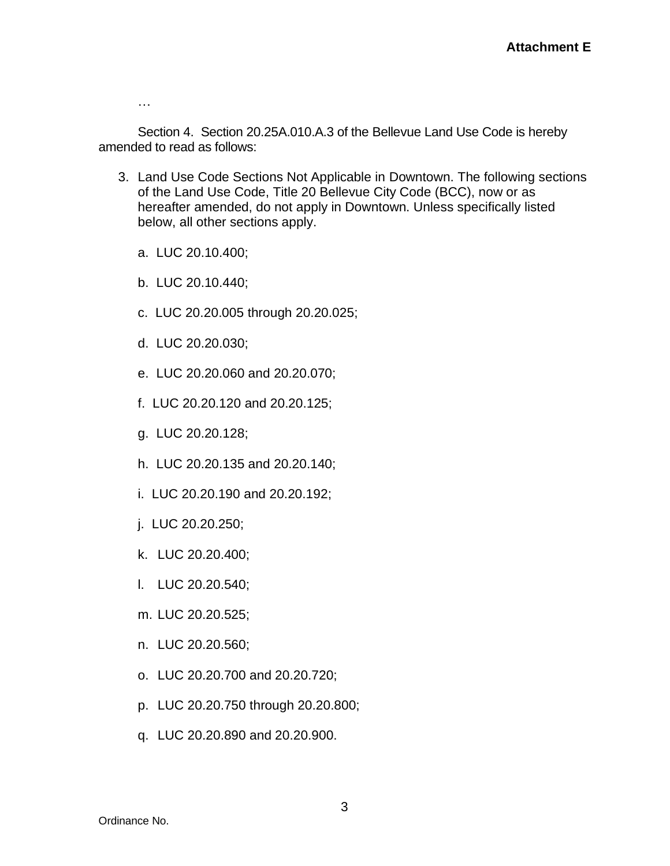…

Section 4. Section 20.25A.010.A.3 of the Bellevue Land Use Code is hereby amended to read as follows:

- 3. Land Use Code Sections Not Applicable in Downtown. The following sections of the Land Use Code, Title 20 Bellevue City Code (BCC), now or as hereafter amended, do not apply in Downtown. Unless specifically listed below, all other sections apply.
	- a. LUC 20.10.400;
	- b. LUC 20.10.440;
	- c. LUC 20.20.005 through 20.20.025;
	- d. LUC 20.20.030;
	- e. LUC 20.20.060 and 20.20.070;
	- f. LUC 20.20.120 and 20.20.125;
	- g. LUC 20.20.128;
	- h. LUC 20.20.135 and 20.20.140;
	- i. LUC 20.20.190 and 20.20.192;
	- j. LUC 20.20.250;
	- k. LUC 20.20.400;
	- l. LUC 20.20.540;
	- m. LUC 20.20.525;
	- n. LUC 20.20.560;
	- o. LUC 20.20.700 and 20.20.720;
	- p. LUC 20.20.750 through 20.20.800;
	- q. LUC 20.20.890 and 20.20.900.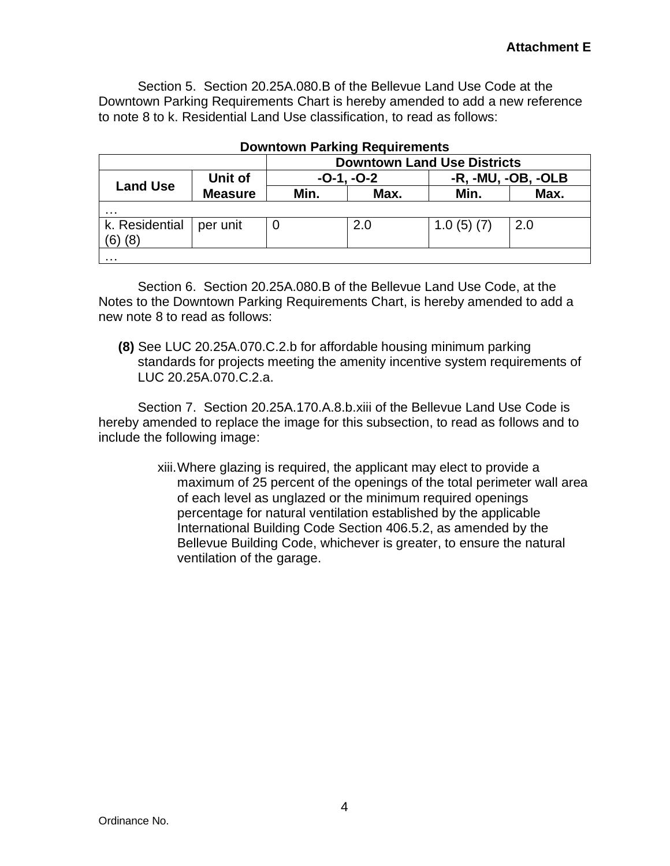Section 5. Section 20.25A.080.B of the Bellevue Land Use Code at the Downtown Parking Requirements Chart is hereby amended to add a new reference to note 8 to k. Residential Land Use classification, to read as follows:

|                       |                | <b>Downtown Land Use Districts</b> |      |                    |      |
|-----------------------|----------------|------------------------------------|------|--------------------|------|
| <b>Land Use</b>       | Unit of        | $-0-1, -0-2$                       |      | -R, -MU, -OB, -OLB |      |
|                       | <b>Measure</b> | Min.                               | Max. | Min.               | Max. |
| .                     |                |                                    |      |                    |      |
| k. Residential<br>(8) | per unit       |                                    | 2.0  | 1.0(5)(7)          | 2.0  |
| .                     |                |                                    |      |                    |      |

## **Downtown Parking Requirements**

Section 6. Section 20.25A.080.B of the Bellevue Land Use Code, at the Notes to the Downtown Parking Requirements Chart, is hereby amended to add a new note 8 to read as follows:

**(8)** See LUC 20.25A.070.C.2.b for affordable housing minimum parking standards for projects meeting the amenity incentive system requirements of LUC 20.25A.070.C.2.a.

Section 7. Section 20.25A.170.A.8.b.xiii of the Bellevue Land Use Code is hereby amended to replace the image for this subsection, to read as follows and to include the following image:

> xiii.Where glazing is required, the applicant may elect to provide a maximum of 25 percent of the openings of the total perimeter wall area of each level as unglazed or the minimum required openings percentage for natural ventilation established by the applicable International Building Code Section 406.5.2, as amended by the Bellevue Building Code, whichever is greater, to ensure the natural ventilation of the garage.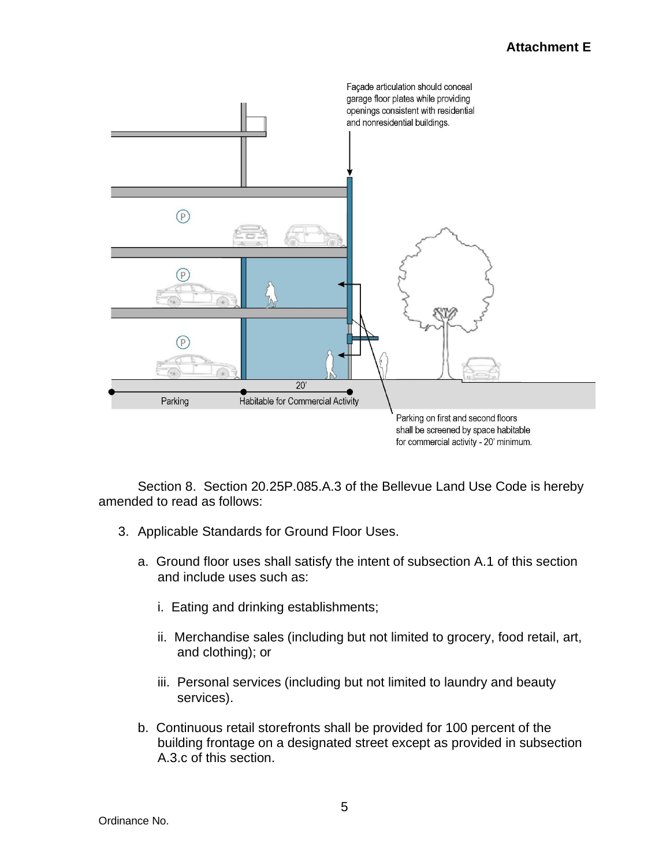

Section 8. Section 20.25P.085.A.3 of the Bellevue Land Use Code is hereby amended to read as follows:

- 3. Applicable Standards for Ground Floor Uses.
	- a. Ground floor uses shall satisfy the intent of subsection A.1 of this section and include uses such as:
		- i. Eating and drinking establishments;
		- ii. Merchandise sales (including but not limited to grocery, food retail, art, and clothing); or
		- iii. Personal services (including but not limited to laundry and beauty services).
	- b. Continuous retail storefronts shall be provided for 100 percent of the building frontage on a designated street except as provided in subsection A.3.c of this section.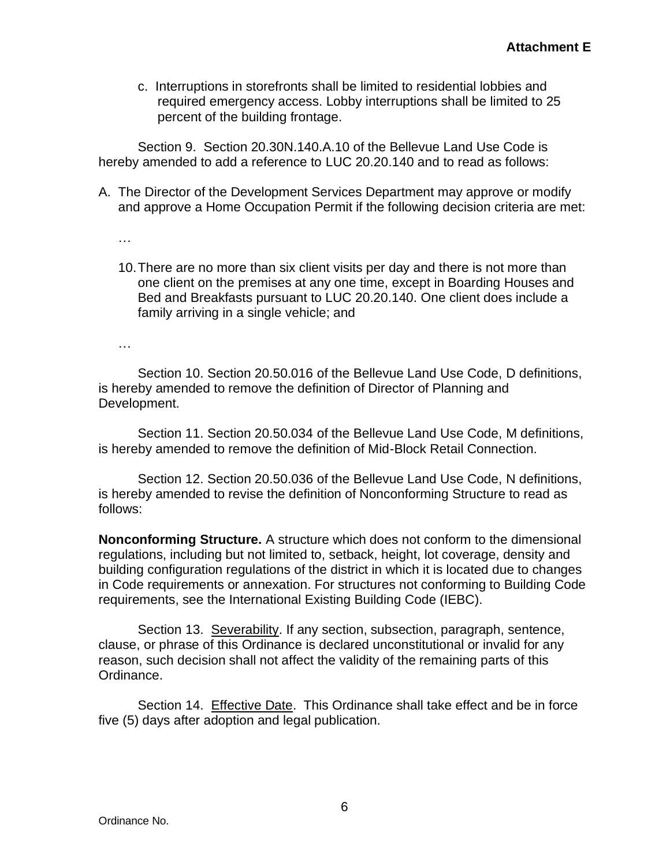c. Interruptions in storefronts shall be limited to residential lobbies and required emergency access. Lobby interruptions shall be limited to 25 percent of the building frontage.

Section 9. Section 20.30N.140.A.10 of the Bellevue Land Use Code is hereby amended to add a reference to LUC 20.20.140 and to read as follows:

A. The Director of the Development Services Department may approve or modify and approve a Home Occupation Permit if the following decision criteria are met:

…

10.There are no more than six client visits per day and there is not more than one client on the premises at any one time, except in Boarding Houses and Bed and Breakfasts pursuant to LUC 20.20.140. One client does include a family arriving in a single vehicle; and

…

Section 10. Section 20.50.016 of the Bellevue Land Use Code, D definitions, is hereby amended to remove the definition of Director of Planning and Development.

Section 11. Section 20.50.034 of the Bellevue Land Use Code, M definitions, is hereby amended to remove the definition of Mid-Block Retail Connection.

Section 12. Section 20.50.036 of the Bellevue Land Use Code, N definitions, is hereby amended to revise the definition of Nonconforming Structure to read as follows:

**Nonconforming Structure.** A structure which does not conform to the dimensional regulations, including but not limited to, setback, height, lot coverage, density and building configuration regulations of the district in which it is located due to changes in Code requirements or annexation. For structures not conforming to Building Code requirements, see the International Existing Building Code (IEBC).

Section 13. Severability. If any section, subsection, paragraph, sentence, clause, or phrase of this Ordinance is declared unconstitutional or invalid for any reason, such decision shall not affect the validity of the remaining parts of this Ordinance.

Section 14. Effective Date. This Ordinance shall take effect and be in force five (5) days after adoption and legal publication.